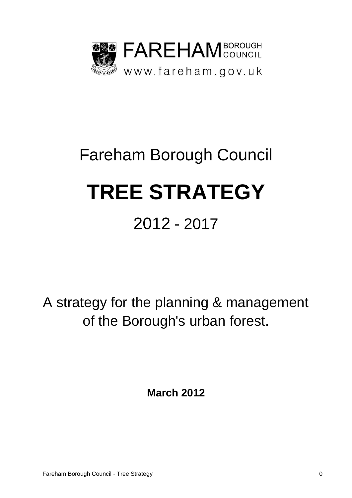

# Fareham Borough Council **TREE STRATEGY** 2012 - 2017

A strategy for the planning & management of the Borough's urban forest.

**March 2012**

Fareham Borough Council - Tree Strategy 0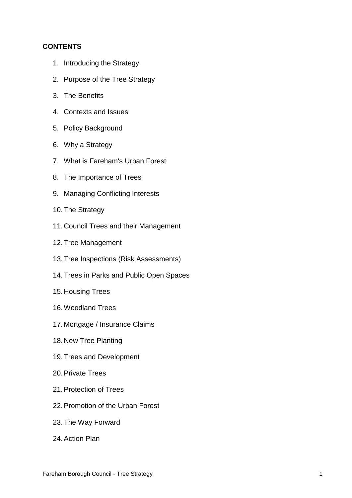## **CONTENTS**

- 1. Introducing the Strategy
- 2. Purpose of the Tree Strategy
- 3. The Benefits
- 4. Contexts and Issues
- 5. Policy Background
- 6. Why a Strategy
- 7. What is Fareham's Urban Forest
- 8. The Importance of Trees
- 9. Managing Conflicting Interests
- 10.The Strategy
- 11. Council Trees and their Management
- 12.Tree Management
- 13.Tree Inspections (Risk Assessments)
- 14.Trees in Parks and Public Open Spaces
- 15. Housing Trees
- 16.Woodland Trees
- 17. Mortgage / Insurance Claims
- 18. New Tree Planting
- 19.Trees and Development
- 20.Private Trees
- 21.Protection of Trees
- 22.Promotion of the Urban Forest
- 23.The Way Forward
- 24.Action Plan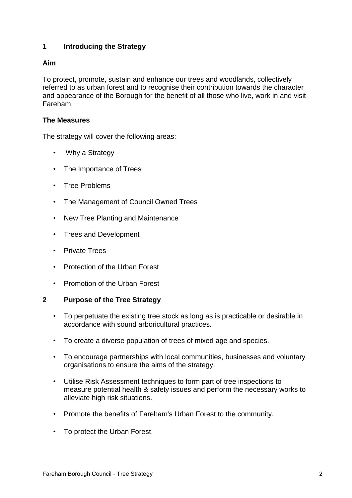# **1 Introducing the Strategy**

## **Aim**

To protect, promote, sustain and enhance our trees and woodlands, collectively referred to as urban forest and to recognise their contribution towards the character and appearance of the Borough for the benefit of all those who live, work in and visit Fareham.

## **The Measures**

The strategy will cover the following areas:

- Why a Strategy
- The Importance of Trees
- Tree Problems
- The Management of Council Owned Trees
- New Tree Planting and Maintenance
- Trees and Development
- Private Trees
- Protection of the Urban Forest
- Promotion of the Urban Forest

## **2 Purpose of the Tree Strategy**

- To perpetuate the existing tree stock as long as is practicable or desirable in accordance with sound arboricultural practices.
- To create a diverse population of trees of mixed age and species.
- To encourage partnerships with local communities, businesses and voluntary organisations to ensure the aims of the strategy.
- Utilise Risk Assessment techniques to form part of tree inspections to measure potential health & safety issues and perform the necessary works to alleviate high risk situations.
- Promote the benefits of Fareham's Urban Forest to the community.
- To protect the Urban Forest.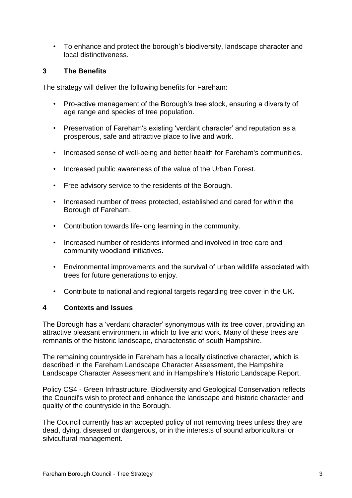• To enhance and protect the borough's biodiversity, landscape character and local distinctiveness.

# **3 The Benefits**

The strategy will deliver the following benefits for Fareham:

- Pro-active management of the Borough's tree stock, ensuring a diversity of age range and species of tree population.
- Preservation of Fareham's existing 'verdant character' and reputation as a prosperous, safe and attractive place to live and work.
- Increased sense of well-being and better health for Fareham's communities.
- Increased public awareness of the value of the Urban Forest.
- Free advisory service to the residents of the Borough.
- Increased number of trees protected, established and cared for within the Borough of Fareham.
- Contribution towards life-long learning in the community.
- Increased number of residents informed and involved in tree care and community woodland initiatives.
- Environmental improvements and the survival of urban wildlife associated with trees for future generations to enjoy.
- Contribute to national and regional targets regarding tree cover in the UK.

## **4 Contexts and Issues**

The Borough has a 'verdant character' synonymous with its tree cover, providing an attractive pleasant environment in which to live and work. Many of these trees are remnants of the historic landscape, characteristic of south Hampshire.

The remaining countryside in Fareham has a locally distinctive character, which is described in the Fareham Landscape Character Assessment, the Hampshire Landscape Character Assessment and in Hampshire's Historic Landscape Report.

Policy CS4 - Green Infrastructure, Biodiversity and Geological Conservation reflects the Council's wish to protect and enhance the landscape and historic character and quality of the countryside in the Borough.

The Council currently has an accepted policy of not removing trees unless they are dead, dying, diseased or dangerous, or in the interests of sound arboricultural or silvicultural management.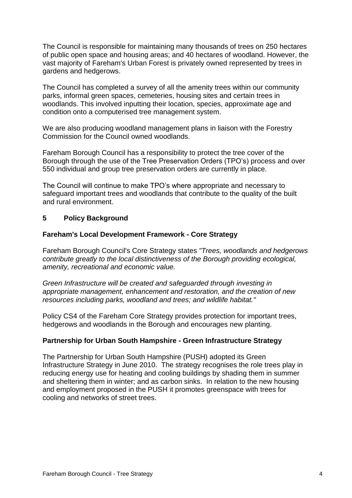The Council is responsible for maintaining many thousands of trees on 250 hectares of public open space and housing areas; and 40 hectares of woodland. However, the vast majority of Fareham's Urban Forest is privately owned represented by trees in gardens and hedgerows.

The Council has completed a survey of all the amenity trees within our community parks, informal green spaces, cemeteries, housing sites and certain trees in woodlands. This involved inputting their location, species, approximate age and condition onto a computerised tree management system.

We are also producing woodland management plans in liaison with the Forestry Commission for the Council owned woodlands.

Fareham Borough Council has a responsibility to protect the tree cover of the Borough through the use of the Tree Preservation Orders (TPO's) process and over 550 individual and group tree preservation orders are currently in place.

The Council will continue to make TPO's where appropriate and necessary to safeguard important trees and woodlands that contribute to the quality of the built and rural environment.

## **5 Policy Background**

#### **Fareham's Local Development Framework - Core Strategy**

Fareham Borough Council's Core Strategy states *"Trees, woodlands and hedgerows contribute greatly to the local distinctiveness of the Borough providing ecological, amenity, recreational and economic value.*

*Green Infrastructure will be created and safeguarded through investing in appropriate management, enhancement and restoration, and the creation of new resources including parks, woodland and trees; and wildlife habitat."* 

Policy CS4 of the Fareham Core Strategy provides protection for important trees, hedgerows and woodlands in the Borough and encourages new planting.

#### **Partnership for Urban South Hampshire - Green Infrastructure Strategy**

The Partnership for Urban South Hampshire (PUSH) adopted its Green Infrastructure Strategy in June 2010. The strategy recognises the role trees play in reducing energy use for heating and cooling buildings by shading them in summer and sheltering them in winter; and as carbon sinks. In relation to the new housing and employment proposed in the PUSH it promotes greenspace with trees for cooling and networks of street trees.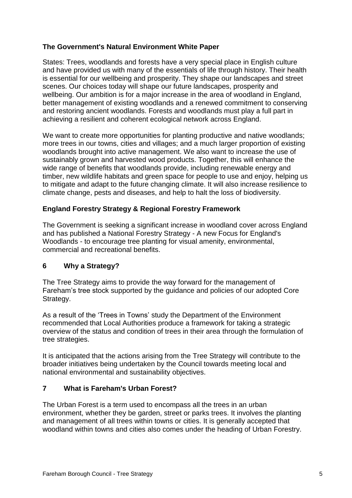# **The Government's Natural Environment White Paper**

States: Trees, woodlands and forests have a very special place in English culture and have provided us with many of the essentials of life through history. Their health is essential for our wellbeing and prosperity. They shape our landscapes and street scenes. Our choices today will shape our future landscapes, prosperity and wellbeing. Our ambition is for a major increase in the area of woodland in England, better management of existing woodlands and a renewed commitment to conserving and restoring ancient woodlands. Forests and woodlands must play a full part in achieving a resilient and coherent ecological network across England.

We want to create more opportunities for planting productive and native woodlands; more trees in our towns, cities and villages; and a much larger proportion of existing woodlands brought into active management. We also want to increase the use of sustainably grown and harvested wood products. Together, this will enhance the wide range of benefits that woodlands provide, including renewable energy and timber, new wildlife habitats and green space for people to use and enjoy, helping us to mitigate and adapt to the future changing climate. It will also increase resilience to climate change, pests and diseases, and help to halt the loss of biodiversity.

## **England Forestry Strategy & Regional Forestry Framework**

The Government is seeking a significant increase in woodland cover across England and has published a National Forestry Strategy - A new Focus for England's Woodlands - to encourage tree planting for visual amenity, environmental, commercial and recreational benefits.

## **6 Why a Strategy?**

The Tree Strategy aims to provide the way forward for the management of Fareham's tree stock supported by the guidance and policies of our adopted Core Strategy.

As a result of the 'Trees in Towns' study the Department of the Environment recommended that Local Authorities produce a framework for taking a strategic overview of the status and condition of trees in their area through the formulation of tree strategies.

It is anticipated that the actions arising from the Tree Strategy will contribute to the broader initiatives being undertaken by the Council towards meeting local and national environmental and sustainability objectives.

## **7 What is Fareham's Urban Forest?**

The Urban Forest is a term used to encompass all the trees in an urban environment, whether they be garden, street or parks trees. It involves the planting and management of all trees within towns or cities. It is generally accepted that woodland within towns and cities also comes under the heading of Urban Forestry.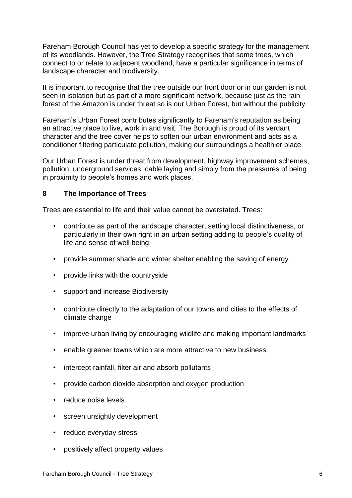Fareham Borough Council has yet to develop a specific strategy for the management of its woodlands. However, the Tree Strategy recognises that some trees, which connect to or relate to adjacent woodland, have a particular significance in terms of landscape character and biodiversity.

It is important to recognise that the tree outside our front door or in our garden is not seen in isolation but as part of a more significant network, because just as the rain forest of the Amazon is under threat so is our Urban Forest, but without the publicity.

Fareham's Urban Forest contributes significantly to Fareham's reputation as being an attractive place to live, work in and visit. The Borough is proud of its verdant character and the tree cover helps to soften our urban environment and acts as a conditioner filtering particulate pollution, making our surroundings a healthier place.

Our Urban Forest is under threat from development, highway improvement schemes, pollution, underground services, cable laying and simply from the pressures of being in proximity to people's homes and work places.

## **8 The Importance of Trees**

Trees are essential to life and their value cannot be overstated. Trees:

- contribute as part of the landscape character, setting local distinctiveness, or particularly in their own right in an urban setting adding to people's quality of life and sense of well being
- provide summer shade and winter shelter enabling the saving of energy
- provide links with the countryside
- support and increase Biodiversity
- contribute directly to the adaptation of our towns and cities to the effects of climate change
- improve urban living by encouraging wildlife and making important landmarks
- enable greener towns which are more attractive to new business
- intercept rainfall, filter air and absorb pollutants
- provide carbon dioxide absorption and oxygen production
- reduce noise levels
- screen unsightly development
- reduce everyday stress
- positively affect property values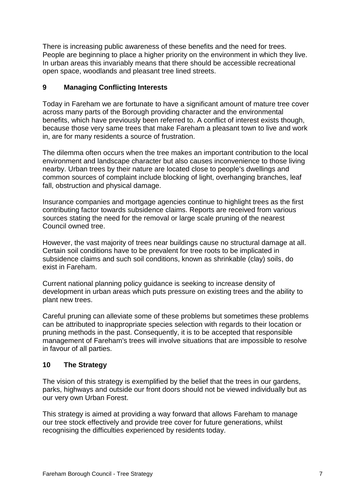There is increasing public awareness of these benefits and the need for trees. People are beginning to place a higher priority on the environment in which they live. In urban areas this invariably means that there should be accessible recreational open space, woodlands and pleasant tree lined streets.

## **9 Managing Conflicting Interests**

Today in Fareham we are fortunate to have a significant amount of mature tree cover across many parts of the Borough providing character and the environmental benefits, which have previously been referred to. A conflict of interest exists though, because those very same trees that make Fareham a pleasant town to live and work in, are for many residents a source of frustration.

The dilemma often occurs when the tree makes an important contribution to the local environment and landscape character but also causes inconvenience to those living nearby. Urban trees by their nature are located close to people's dwellings and common sources of complaint include blocking of light, overhanging branches, leaf fall, obstruction and physical damage.

Insurance companies and mortgage agencies continue to highlight trees as the first contributing factor towards subsidence claims. Reports are received from various sources stating the need for the removal or large scale pruning of the nearest Council owned tree.

However, the vast majority of trees near buildings cause no structural damage at all. Certain soil conditions have to be prevalent for tree roots to be implicated in subsidence claims and such soil conditions, known as shrinkable (clay) soils, do exist in Fareham.

Current national planning policy guidance is seeking to increase density of development in urban areas which puts pressure on existing trees and the ability to plant new trees.

Careful pruning can alleviate some of these problems but sometimes these problems can be attributed to inappropriate species selection with regards to their location or pruning methods in the past. Consequently, it is to be accepted that responsible management of Fareham's trees will involve situations that are impossible to resolve in favour of all parties.

# **10 The Strategy**

The vision of this strategy is exemplified by the belief that the trees in our gardens, parks, highways and outside our front doors should not be viewed individually but as our very own Urban Forest.

This strategy is aimed at providing a way forward that allows Fareham to manage our tree stock effectively and provide tree cover for future generations, whilst recognising the difficulties experienced by residents today.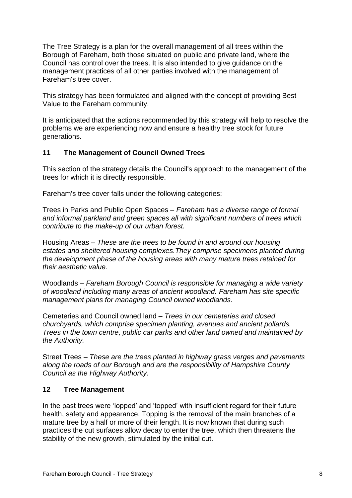The Tree Strategy is a plan for the overall management of all trees within the Borough of Fareham, both those situated on public and private land, where the Council has control over the trees. It is also intended to give guidance on the management practices of all other parties involved with the management of Fareham's tree cover.

This strategy has been formulated and aligned with the concept of providing Best Value to the Fareham community.

It is anticipated that the actions recommended by this strategy will help to resolve the problems we are experiencing now and ensure a healthy tree stock for future generations.

# **11 The Management of Council Owned Trees**

This section of the strategy details the Council's approach to the management of the trees for which it is directly responsible.

Fareham's tree cover falls under the following categories:

Trees in Parks and Public Open Spaces – *Fareham has a diverse range of formal and informal parkland and green spaces all with significant numbers of trees which contribute to the make-up of our urban forest.*

Housing Areas – *These are the trees to be found in and around our housing estates and sheltered housing complexes.They comprise specimens planted during the development phase of the housing areas with many mature trees retained for their aesthetic value.*

Woodlands – *Fareham Borough Council is responsible for managing a wide variety of woodland including many areas of ancient woodland. Fareham has site specific management plans for managing Council owned woodlands.*

Cemeteries and Council owned land – *Trees in our cemeteries and closed churchyards, which comprise specimen planting, avenues and ancient pollards. Trees in the town centre, public car parks and other land owned and maintained by the Authority.*

Street Trees – *These are the trees planted in highway grass verges and pavements along the roads of our Borough and are the responsibility of Hampshire County Council as the Highway Authority.*

## **12 Tree Management**

In the past trees were 'lopped' and 'topped' with insufficient regard for their future health, safety and appearance. Topping is the removal of the main branches of a mature tree by a half or more of their length. It is now known that during such practices the cut surfaces allow decay to enter the tree, which then threatens the stability of the new growth, stimulated by the initial cut.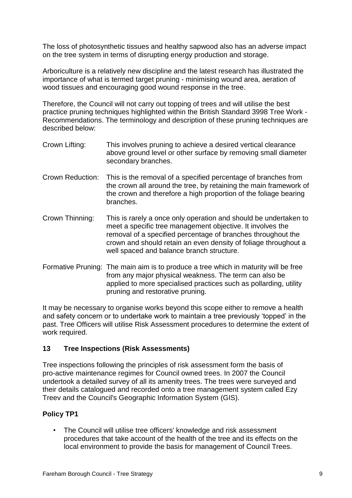The loss of photosynthetic tissues and healthy sapwood also has an adverse impact on the tree system in terms of disrupting energy production and storage.

Arboriculture is a relatively new discipline and the latest research has illustrated the importance of what is termed target pruning - minimising wound area, aeration of wood tissues and encouraging good wound response in the tree.

Therefore, the Council will not carry out topping of trees and will utilise the best practice pruning techniques highlighted within the British Standard 3998 Tree Work - Recommendations. The terminology and description of these pruning techniques are described below:

- Crown Lifting: This involves pruning to achieve a desired vertical clearance above ground level or other surface by removing small diameter secondary branches.
- Crown Reduction: This is the removal of a specified percentage of branches from the crown all around the tree, by retaining the main framework of the crown and therefore a high proportion of the foliage bearing branches.
- Crown Thinning: This is rarely a once only operation and should be undertaken to meet a specific tree management objective. It involves the removal of a specified percentage of branches throughout the crown and should retain an even density of foliage throughout a well spaced and balance branch structure.
- Formative Pruning: The main aim is to produce a tree which in maturity will be free from any major physical weakness. The term can also be applied to more specialised practices such as pollarding, utility pruning and restorative pruning.

It may be necessary to organise works beyond this scope either to remove a health and safety concern or to undertake work to maintain a tree previously 'topped' in the past. Tree Officers will utilise Risk Assessment procedures to determine the extent of work required.

## **13 Tree Inspections (Risk Assessments)**

Tree inspections following the principles of risk assessment form the basis of pro-active maintenance regimes for Council owned trees. In 2007 the Council undertook a detailed survey of all its amenity trees. The trees were surveyed and their details catalogued and recorded onto a tree management system called Ezy Treev and the Council's Geographic Information System (GIS).

# **Policy TP1**

• The Council will utilise tree officers' knowledge and risk assessment procedures that take account of the health of the tree and its effects on the local environment to provide the basis for management of Council Trees.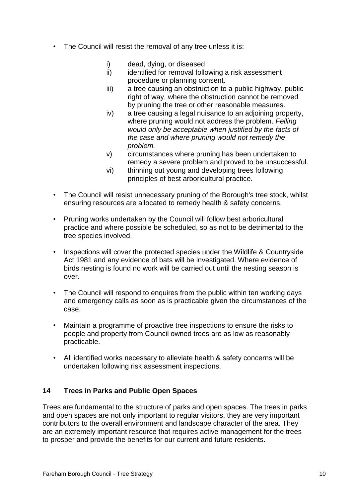- The Council will resist the removal of any tree unless it is:
	- i) dead, dying, or diseased
	- ii) identified for removal following a risk assessment procedure or planning consent.
	- iii) a tree causing an obstruction to a public highway, public right of way, where the obstruction cannot be removed by pruning the tree or other reasonable measures.
	- iv) a tree causing a legal nuisance to an adjoining property, where pruning would not address the problem. *Felling would only be acceptable when justified by the facts of the case and where pruning would not remedy the problem.*
	- v) circumstances where pruning has been undertaken to remedy a severe problem and proved to be unsuccessful.
	- vi) thinning out young and developing trees following principles of best arboricultural practice.
- The Council will resist unnecessary pruning of the Borough's tree stock, whilst ensuring resources are allocated to remedy health & safety concerns.
- Pruning works undertaken by the Council will follow best arboricultural practice and where possible be scheduled, so as not to be detrimental to the tree species involved.
- Inspections will cover the protected species under the Wildlife & Countryside Act 1981 and any evidence of bats will be investigated. Where evidence of birds nesting is found no work will be carried out until the nesting season is over.
- The Council will respond to enquires from the public within ten working days and emergency calls as soon as is practicable given the circumstances of the case.
- Maintain a programme of proactive tree inspections to ensure the risks to people and property from Council owned trees are as low as reasonably practicable.
- All identified works necessary to alleviate health & safety concerns will be undertaken following risk assessment inspections.

# **14 Trees in Parks and Public Open Spaces**

Trees are fundamental to the structure of parks and open spaces. The trees in parks and open spaces are not only important to regular visitors, they are very important contributors to the overall environment and landscape character of the area. They are an extremely important resource that requires active management for the trees to prosper and provide the benefits for our current and future residents.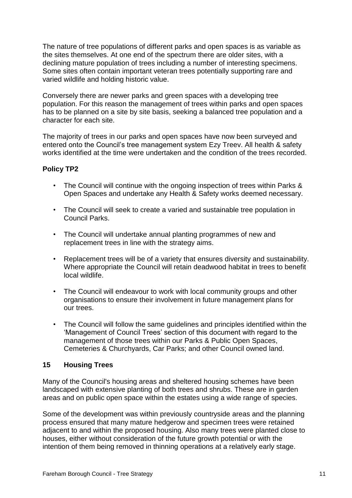The nature of tree populations of different parks and open spaces is as variable as the sites themselves. At one end of the spectrum there are older sites, with a declining mature population of trees including a number of interesting specimens. Some sites often contain important veteran trees potentially supporting rare and varied wildlife and holding historic value.

Conversely there are newer parks and green spaces with a developing tree population. For this reason the management of trees within parks and open spaces has to be planned on a site by site basis, seeking a balanced tree population and a character for each site.

The majority of trees in our parks and open spaces have now been surveyed and entered onto the Council's tree management system Ezy Treev. All health & safety works identified at the time were undertaken and the condition of the trees recorded.

# **Policy TP2**

- The Council will continue with the ongoing inspection of trees within Parks & Open Spaces and undertake any Health & Safety works deemed necessary.
- The Council will seek to create a varied and sustainable tree population in Council Parks.
- The Council will undertake annual planting programmes of new and replacement trees in line with the strategy aims.
- Replacement trees will be of a variety that ensures diversity and sustainability. Where appropriate the Council will retain deadwood habitat in trees to benefit local wildlife.
- The Council will endeavour to work with local community groups and other organisations to ensure their involvement in future management plans for our trees.
- The Council will follow the same guidelines and principles identified within the 'Management of Council Trees' section of this document with regard to the management of those trees within our Parks & Public Open Spaces, Cemeteries & Churchyards, Car Parks; and other Council owned land.

# **15 Housing Trees**

Many of the Council's housing areas and sheltered housing schemes have been landscaped with extensive planting of both trees and shrubs. These are in garden areas and on public open space within the estates using a wide range of species.

Some of the development was within previously countryside areas and the planning process ensured that many mature hedgerow and specimen trees were retained adjacent to and within the proposed housing. Also many trees were planted close to houses, either without consideration of the future growth potential or with the intention of them being removed in thinning operations at a relatively early stage.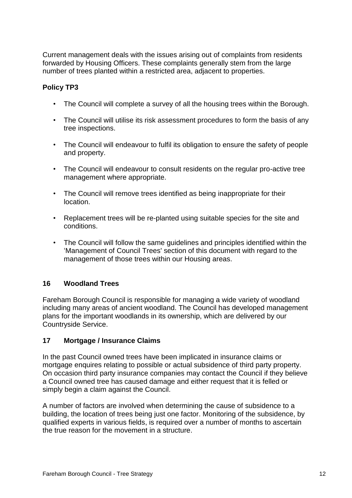Current management deals with the issues arising out of complaints from residents forwarded by Housing Officers. These complaints generally stem from the large number of trees planted within a restricted area, adjacent to properties.

# **Policy TP3**

- The Council will complete a survey of all the housing trees within the Borough.
- The Council will utilise its risk assessment procedures to form the basis of any tree inspections.
- The Council will endeavour to fulfil its obligation to ensure the safety of people and property.
- The Council will endeavour to consult residents on the regular pro-active tree management where appropriate.
- The Council will remove trees identified as being inappropriate for their location.
- Replacement trees will be re-planted using suitable species for the site and conditions.
- The Council will follow the same guidelines and principles identified within the 'Management of Council Trees' section of this document with regard to the management of those trees within our Housing areas.

# **16 Woodland Trees**

Fareham Borough Council is responsible for managing a wide variety of woodland including many areas of ancient woodland. The Council has developed management plans for the important woodlands in its ownership, which are delivered by our Countryside Service.

# **17 Mortgage / Insurance Claims**

In the past Council owned trees have been implicated in insurance claims or mortgage enquires relating to possible or actual subsidence of third party property. On occasion third party insurance companies may contact the Council if they believe a Council owned tree has caused damage and either request that it is felled or simply begin a claim against the Council.

A number of factors are involved when determining the cause of subsidence to a building, the location of trees being just one factor. Monitoring of the subsidence, by qualified experts in various fields, is required over a number of months to ascertain the true reason for the movement in a structure.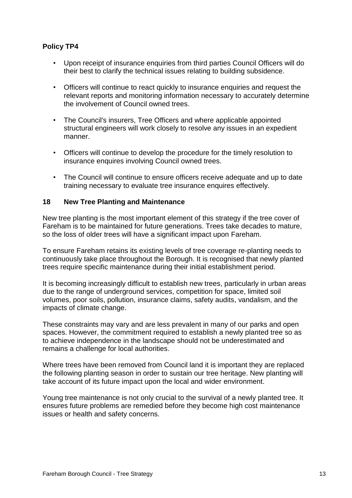# **Policy TP4**

- Upon receipt of insurance enquiries from third parties Council Officers will do their best to clarify the technical issues relating to building subsidence.
- Officers will continue to react quickly to insurance enquiries and request the relevant reports and monitoring information necessary to accurately determine the involvement of Council owned trees.
- The Council's insurers, Tree Officers and where applicable appointed structural engineers will work closely to resolve any issues in an expedient manner.
- Officers will continue to develop the procedure for the timely resolution to insurance enquires involving Council owned trees.
- The Council will continue to ensure officers receive adequate and up to date training necessary to evaluate tree insurance enquires effectively.

## **18 New Tree Planting and Maintenance**

New tree planting is the most important element of this strategy if the tree cover of Fareham is to be maintained for future generations. Trees take decades to mature, so the loss of older trees will have a significant impact upon Fareham.

To ensure Fareham retains its existing levels of tree coverage re-planting needs to continuously take place throughout the Borough. It is recognised that newly planted trees require specific maintenance during their initial establishment period.

It is becoming increasingly difficult to establish new trees, particularly in urban areas due to the range of underground services, competition for space, limited soil volumes, poor soils, pollution, insurance claims, safety audits, vandalism, and the impacts of climate change.

These constraints may vary and are less prevalent in many of our parks and open spaces. However, the commitment required to establish a newly planted tree so as to achieve independence in the landscape should not be underestimated and remains a challenge for local authorities.

Where trees have been removed from Council land it is important they are replaced the following planting season in order to sustain our tree heritage. New planting will take account of its future impact upon the local and wider environment.

Young tree maintenance is not only crucial to the survival of a newly planted tree. It ensures future problems are remedied before they become high cost maintenance issues or health and safety concerns.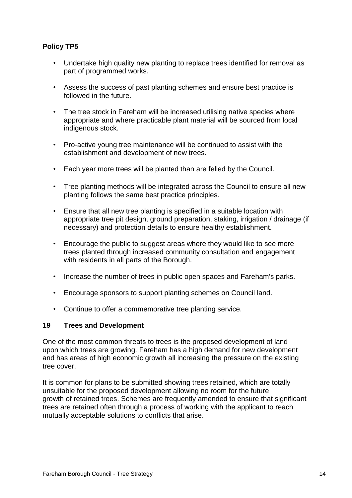# **Policy TP5**

- Undertake high quality new planting to replace trees identified for removal as part of programmed works.
- Assess the success of past planting schemes and ensure best practice is followed in the future.
- The tree stock in Fareham will be increased utilising native species where appropriate and where practicable plant material will be sourced from local indigenous stock.
- Pro-active young tree maintenance will be continued to assist with the establishment and development of new trees.
- Each year more trees will be planted than are felled by the Council.
- Tree planting methods will be integrated across the Council to ensure all new planting follows the same best practice principles.
- Ensure that all new tree planting is specified in a suitable location with appropriate tree pit design, ground preparation, staking, irrigation / drainage (if necessary) and protection details to ensure healthy establishment.
- Encourage the public to suggest areas where they would like to see more trees planted through increased community consultation and engagement with residents in all parts of the Borough.
- Increase the number of trees in public open spaces and Fareham's parks.
- Encourage sponsors to support planting schemes on Council land.
- Continue to offer a commemorative tree planting service.

## **19 Trees and Development**

One of the most common threats to trees is the proposed development of land upon which trees are growing. Fareham has a high demand for new development and has areas of high economic growth all increasing the pressure on the existing tree cover.

It is common for plans to be submitted showing trees retained, which are totally unsuitable for the proposed development allowing no room for the future growth of retained trees. Schemes are frequently amended to ensure that significant trees are retained often through a process of working with the applicant to reach mutually acceptable solutions to conflicts that arise.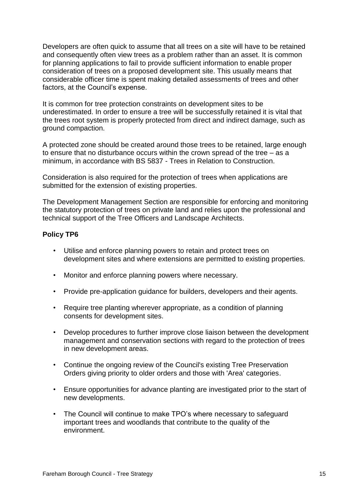Developers are often quick to assume that all trees on a site will have to be retained and consequently often view trees as a problem rather than an asset. It is common for planning applications to fail to provide sufficient information to enable proper consideration of trees on a proposed development site. This usually means that considerable officer time is spent making detailed assessments of trees and other factors, at the Council's expense.

It is common for tree protection constraints on development sites to be underestimated. In order to ensure a tree will be successfully retained it is vital that the trees root system is properly protected from direct and indirect damage, such as ground compaction.

A protected zone should be created around those trees to be retained, large enough to ensure that no disturbance occurs within the crown spread of the tree – as a minimum, in accordance with BS 5837 - Trees in Relation to Construction.

Consideration is also required for the protection of trees when applications are submitted for the extension of existing properties.

The Development Management Section are responsible for enforcing and monitoring the statutory protection of trees on private land and relies upon the professional and technical support of the Tree Officers and Landscape Architects.

#### **Policy TP6**

- Utilise and enforce planning powers to retain and protect trees on development sites and where extensions are permitted to existing properties.
- Monitor and enforce planning powers where necessary.
- Provide pre-application guidance for builders, developers and their agents.
- Require tree planting wherever appropriate, as a condition of planning consents for development sites.
- Develop procedures to further improve close liaison between the development management and conservation sections with regard to the protection of trees in new development areas.
- Continue the ongoing review of the Council's existing Tree Preservation Orders giving priority to older orders and those with 'Area' categories.
- Ensure opportunities for advance planting are investigated prior to the start of new developments.
- The Council will continue to make TPO's where necessary to safeguard important trees and woodlands that contribute to the quality of the environment.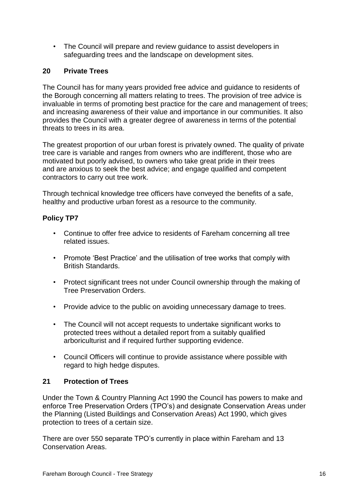• The Council will prepare and review guidance to assist developers in safeguarding trees and the landscape on development sites.

# **20 Private Trees**

The Council has for many years provided free advice and guidance to residents of the Borough concerning all matters relating to trees. The provision of tree advice is invaluable in terms of promoting best practice for the care and management of trees; and increasing awareness of their value and importance in our communities. It also provides the Council with a greater degree of awareness in terms of the potential threats to trees in its area.

The greatest proportion of our urban forest is privately owned. The quality of private tree care is variable and ranges from owners who are indifferent, those who are motivated but poorly advised, to owners who take great pride in their trees and are anxious to seek the best advice; and engage qualified and competent contractors to carry out tree work.

Through technical knowledge tree officers have conveyed the benefits of a safe, healthy and productive urban forest as a resource to the community.

# **Policy TP7**

- Continue to offer free advice to residents of Fareham concerning all tree related issues.
- Promote 'Best Practice' and the utilisation of tree works that comply with British Standards.
- Protect significant trees not under Council ownership through the making of Tree Preservation Orders.
- Provide advice to the public on avoiding unnecessary damage to trees.
- The Council will not accept requests to undertake significant works to protected trees without a detailed report from a suitably qualified arboriculturist and if required further supporting evidence.
- Council Officers will continue to provide assistance where possible with regard to high hedge disputes.

# **21 Protection of Trees**

Under the Town & Country Planning Act 1990 the Council has powers to make and enforce Tree Preservation Orders (TPO's) and designate Conservation Areas under the Planning (Listed Buildings and Conservation Areas) Act 1990, which gives protection to trees of a certain size.

There are over 550 separate TPO's currently in place within Fareham and 13 Conservation Areas.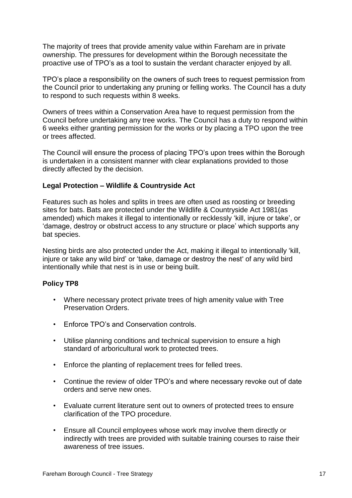The majority of trees that provide amenity value within Fareham are in private ownership. The pressures for development within the Borough necessitate the proactive use of TPO's as a tool to sustain the verdant character enjoyed by all.

TPO's place a responsibility on the owners of such trees to request permission from the Council prior to undertaking any pruning or felling works. The Council has a duty to respond to such requests within 8 weeks.

Owners of trees within a Conservation Area have to request permission from the Council before undertaking any tree works. The Council has a duty to respond within 6 weeks either granting permission for the works or by placing a TPO upon the tree or trees affected.

The Council will ensure the process of placing TPO's upon trees within the Borough is undertaken in a consistent manner with clear explanations provided to those directly affected by the decision.

## **Legal Protection – Wildlife & Countryside Act**

Features such as holes and splits in trees are often used as roosting or breeding sites for bats. Bats are protected under the Wildlife & Countryside Act 1981(as amended) which makes it illegal to intentionally or recklessly 'kill, injure or take', or 'damage, destroy or obstruct access to any structure or place' which supports any bat species.

Nesting birds are also protected under the Act, making it illegal to intentionally 'kill, injure or take any wild bird' or 'take, damage or destroy the nest' of any wild bird intentionally while that nest is in use or being built.

#### **Policy TP8**

- Where necessary protect private trees of high amenity value with Tree Preservation Orders.
- Enforce TPO's and Conservation controls.
- Utilise planning conditions and technical supervision to ensure a high standard of arboricultural work to protected trees.
- Enforce the planting of replacement trees for felled trees.
- Continue the review of older TPO's and where necessary revoke out of date orders and serve new ones.
- Evaluate current literature sent out to owners of protected trees to ensure clarification of the TPO procedure.
- Ensure all Council employees whose work may involve them directly or indirectly with trees are provided with suitable training courses to raise their awareness of tree issues.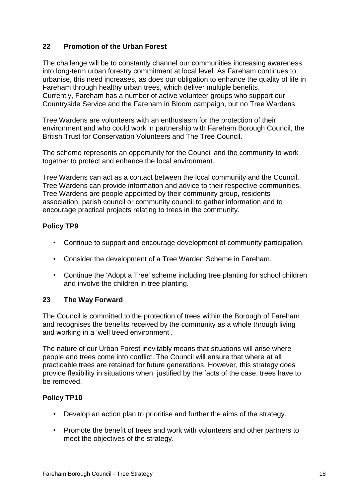# **22 Promotion of the Urban Forest**

The challenge will be to constantly channel our communities increasing awareness into long-term urban forestry commitment at local level. As Fareham continues to urbanise, this need increases, as does our obligation to enhance the quality of life in Fareham through healthy urban trees, which deliver multiple benefits. Currently, Fareham has a number of active volunteer groups who support our Countryside Service and the Fareham in Bloom campaign, but no Tree Wardens.

Tree Wardens are volunteers with an enthusiasm for the protection of their environment and who could work in partnership with Fareham Borough Council, the British Trust for Conservation Volunteers and The Tree Council.

The scheme represents an opportunity for the Council and the community to work together to protect and enhance the local environment.

Tree Wardens can act as a contact between the local community and the Council. Tree Wardens can provide information and advice to their respective communities. Tree Wardens are people appointed by their community group, residents association, parish council or community council to gather information and to encourage practical projects relating to trees in the community.

## **Policy TP9**

- Continue to support and encourage development of community participation.
- Consider the development of a Tree Warden Scheme in Fareham.
- Continue the 'Adopt a Tree' scheme including tree planting for school children and involve the children in tree planting.

## **23 The Way Forward**

The Council is committed to the protection of trees within the Borough of Fareham and recognises the benefits received by the community as a whole through living and working in a 'well treed environment'.

The nature of our Urban Forest inevitably means that situations will arise where people and trees come into conflict. The Council will ensure that where at all practicable trees are retained for future generations. However, this strategy does provide flexibility in situations when, justified by the facts of the case, trees have to be removed.

# **Policy TP10**

- Develop an action plan to prioritise and further the aims of the strategy.
- Promote the benefit of trees and work with volunteers and other partners to meet the objectives of the strategy.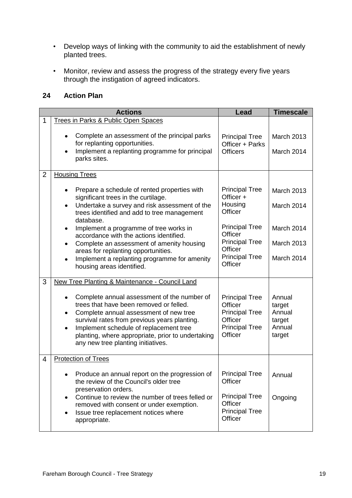- Develop ways of linking with the community to aid the establishment of newly planted trees.
- Monitor, review and assess the progress of the strategy every five years through the instigation of agreed indicators.

## **24 Action Plan**

|                | <b>Actions</b>                                                                                                                                                                                                                                                                                                                                                                                                                                                                                                                  | Lead                                                                                                                                                                 | <b>Timescale</b>                                                                 |
|----------------|---------------------------------------------------------------------------------------------------------------------------------------------------------------------------------------------------------------------------------------------------------------------------------------------------------------------------------------------------------------------------------------------------------------------------------------------------------------------------------------------------------------------------------|----------------------------------------------------------------------------------------------------------------------------------------------------------------------|----------------------------------------------------------------------------------|
| 1              | Trees in Parks & Public Open Spaces<br>Complete an assessment of the principal parks<br>٠<br>for replanting opportunities.<br>Implement a replanting programme for principal<br>$\bullet$<br>parks sites.                                                                                                                                                                                                                                                                                                                       | <b>Principal Tree</b><br>Officer + Parks<br><b>Officers</b>                                                                                                          | <b>March 2013</b><br>March 2014                                                  |
| $\overline{2}$ | <b>Housing Trees</b><br>Prepare a schedule of rented properties with<br>٠<br>significant trees in the curtilage.<br>Undertake a survey and risk assessment of the<br>$\bullet$<br>trees identified and add to tree management<br>database.<br>Implement a programme of tree works in<br>٠<br>accordance with the actions identified.<br>Complete an assessment of amenity housing<br>$\bullet$<br>areas for replanting opportunities.<br>Implement a replanting programme for amenity<br>$\bullet$<br>housing areas identified. | <b>Principal Tree</b><br>Officer +<br>Housing<br>Officer<br><b>Principal Tree</b><br>Officer<br><b>Principal Tree</b><br>Officer<br><b>Principal Tree</b><br>Officer | <b>March 2013</b><br>March 2014<br>March 2014<br><b>March 2013</b><br>March 2014 |
| 3              | New Tree Planting & Maintenance - Council Land<br>Complete annual assessment of the number of<br>٠<br>trees that have been removed or felled.<br>Complete annual assessment of new tree<br>$\bullet$<br>survival rates from previous years planting.<br>Implement schedule of replacement tree<br>$\bullet$<br>planting, where appropriate, prior to undertaking<br>any new tree planting initiatives.                                                                                                                          | <b>Principal Tree</b><br>Officer<br><b>Principal Tree</b><br>Officer<br><b>Principal Tree</b><br>Officer                                                             | Annual<br>target<br>Annual<br>target<br>Annual<br>target                         |
| 4              | <b>Protection of Trees</b><br>Produce an annual report on the progression of<br>٠<br>the review of the Council's older tree<br>preservation orders.<br>Continue to review the number of trees felled or<br>$\bullet$<br>removed with consent or under exemption.<br>Issue tree replacement notices where<br>$\bullet$<br>appropriate.                                                                                                                                                                                           | <b>Principal Tree</b><br>Officer<br><b>Principal Tree</b><br>Officer<br><b>Principal Tree</b><br>Officer                                                             | Annual<br>Ongoing                                                                |